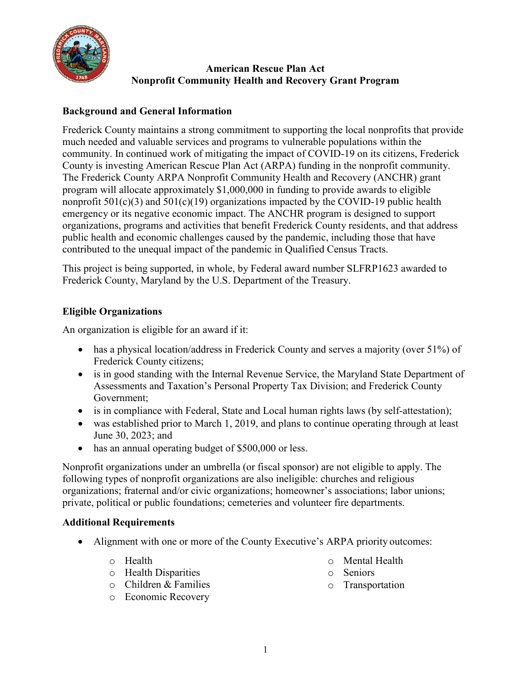

### **American Rescue Plan Act Nonprofit Community Health and Recovery Grant Program**

# **Background and General Information**

Frederick County maintains a strong commitment to supporting the local nonprofits that provide much needed and valuable services and programs to vulnerable populations within the community. In continued work of mitigating the impact of COVID-19 on its citizens, Frederick County is investing American Rescue Plan Act (ARPA) funding in the nonprofit community. The Frederick County ARPA Nonprofit Community Health and Recovery (ANCHR) grant program will allocate approximately \$1,000,000 in funding to provide awards to eligible nonprofit  $501(c)(3)$  and  $501(c)(19)$  organizations impacted by the COVID-19 public health emergency or its negative economic impact. The ANCHR program is designed to support organizations, programs and activities that benefit Frederick County residents, and that address public health and economic challenges caused by the pandemic, including those that have contributed to the unequal impact of the pandemic in Qualified Census Tracts.

This project is being supported, in whole, by Federal award number SLFRP1623 awarded to Frederick County, Maryland by the U.S. Department of the Treasury.

## **Eligible Organizations**

An organization is eligible for an award if it:

- has a physical location/address in Frederick County and serves a majority (over 51%) of Frederick County citizens;
- is in good standing with the Internal Revenue Service, the Maryland State Department of Assessments and Taxation's Personal Property Tax Division; and Frederick County Government;
- is in compliance with Federal, State and Local human rights laws (by self-attestation);
- was established prior to March 1, 2019, and plans to continue operating through at least June 30, 2023; and
- has an annual operating budget of \$500,000 or less.

Nonprofit organizations under an umbrella (or fiscal sponsor) are not eligible to apply. The following types of nonprofit organizations are also ineligible: churches and religious organizations; fraternal and/or civic organizations; homeowner's associations; labor unions; private, political or public foundations; cemeteries and volunteer fire departments.

#### **Additional Requirements**

- Alignment with one or more of the County Executive's ARPA priority outcomes:
	- o Health
	- o Health Disparities
- o Mental Health
- o Seniors
- o Transportation

o Children & Families o Economic Recovery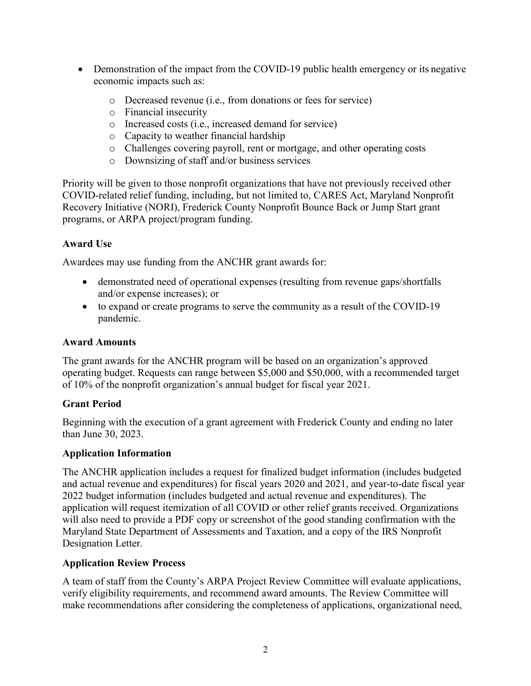- Demonstration of the impact from the COVID-19 public health emergency or its negative economic impacts such as:
	- o Decreased revenue (i.e., from donations or fees for service)
	- o Financial insecurity
	- o Increased costs (i.e., increased demand for service)
	- o Capacity to weather financial hardship
	- o Challenges covering payroll, rent or mortgage, and other operating costs
	- o Downsizing of staff and/or business services

Priority will be given to those nonprofit organizations that have not previously received other COVID-related relief funding, including, but not limited to, CARES Act, Maryland Nonprofit Recovery Initiative (NORI), Frederick County Nonprofit Bounce Back or Jump Start grant programs, or ARPA project/program funding.

## **Award Use**

Awardees may use funding from the ANCHR grant awards for:

- demonstrated need of operational expenses (resulting from revenue gaps/shortfalls and/or expense increases); or
- to expand or create programs to serve the community as a result of the COVID-19 pandemic.

### **Award Amounts**

The grant awards for the ANCHR program will be based on an organization's approved operating budget. Requests can range between \$5,000 and \$50,000, with a recommended target of 10% of the nonprofit organization's annual budget for fiscal year 2021.

## **Grant Period**

Beginning with the execution of a grant agreement with Frederick County and ending no later than June 30, 2023.

#### **Application Information**

The ANCHR application includes a request for finalized budget information (includes budgeted and actual revenue and expenditures) for fiscal years 2020 and 2021, and year-to-date fiscal year 2022 budget information (includes budgeted and actual revenue and expenditures). The application will request itemization of all COVID or other relief grants received. Organizations will also need to provide a PDF copy or screenshot of the good standing confirmation with the Maryland State Department of Assessments and Taxation, and a copy of the IRS Nonprofit Designation Letter.

## **Application Review Process**

A team of staff from the County's ARPA Project Review Committee will evaluate applications, verify eligibility requirements, and recommend award amounts. The Review Committee will make recommendations after considering the completeness of applications, organizational need,